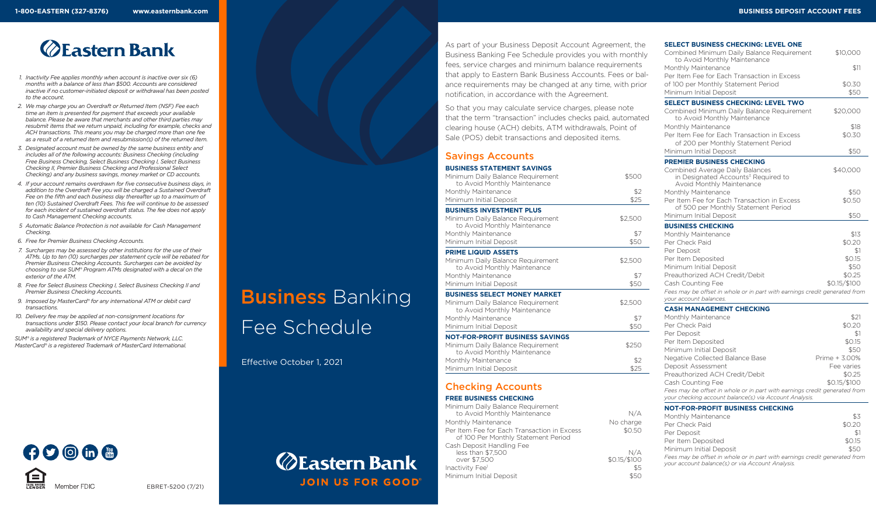# **ZEastern Bank**

- *1. Inactivity Fee applies monthly when account is inactive over six (6) months with a balance of less than \$500. Accounts are considered inactive if no customer-initiated deposit or withdrawal has been posted to the account.*
- *2. We may charge you an Overdraft or Returned Item (NSF) Fee each time an item is presented for payment that exceeds your available balance. Please be aware that merchants and other third parties may resubmit items that we return unpaid, including for example, checks and ACH transactions. This means you may be charged more than one fee as a result of a returned item and resubmission(s) of the returned item.*
- *3. Designated account must be owned by the same business entity and includes all of the following accounts: Business Checking (including Free Business Checking, Select Business Checking I, Select Business Checking II, Premier Business Checking and Professional Select Checking) and any business savings, money market or CD accounts.*
- *4. If your account remains overdrawn for five consecutive business days, in addition to the Overdraft Fee you will be charged a Sustained Overdraft Fee on the fifth and each business day thereafter up to a maximum of ten (10) Sustained Overdraft Fees. This fee will continue to be assessed for each incident of sustained overdraft status. The fee does not apply to Cash Management Checking accounts.*
- *5 Automatic Balance Protection is not available for Cash Management Checking.*
- *6. Free for Premier Business Checking Accounts.*

 $O$  on  $\mathbb C$ 

Member FDIC

- *7. Surcharges may be assessed by other institutions for the use of their ATMs. Up to ten (10) surcharges per statement cycle will be rebated for Premier Business Checking Accounts. Surcharges can be avoided by choosing to use SUM® Program ATMs designated with a decal on the exterior of the ATM.*
- *8. Free for Select Business Checking I, Select Business Checking II and Premier Business Checking Accounts.*
- *9. Imposed by MasterCard® for any international ATM or debit card transactions.*
- *10. Delivery fee may be applied at non-consignment locations for transactions under \$150. Please contact your local branch for currency availability and special delivery options.*

EBRET-5200 (7/21)

*SUM® is a registered Trademark of NYCE Payments Network, LLC. MasterCard® is a registered Trademark of MasterCard International.*

# **Business Banking**

Fee Schedule

Effective October 1, 2021

## **ZEastern Bank JOIN US FOR GOOD**

As part of your Business Deposit Account Agreement, the Business Banking Fee Schedule provides you with monthly fees, service charges and minimum balance requirements that apply to Eastern Bank Business Accounts. Fees or balance requirements may be changed at any time, with prior notification, in accordance with the Agreement.

So that you may calculate service charges, please note that the term "transaction" includes checks paid, automated clearing house (ACH) debits, ATM withdrawals, Point of Sale (POS) debit transactions and deposited items.

#### Savings Accounts

| <b>BUSINESS STATEMENT SAVINGS</b><br>Minimum Daily Balance Requirement | \$500   |
|------------------------------------------------------------------------|---------|
| to Avoid Monthly Maintenance                                           |         |
| Monthly Maintenance                                                    | \$2     |
| Minimum Initial Deposit                                                | \$25    |
| <b>BUSINESS INVESTMENT PLUS</b>                                        |         |
| Minimum Daily Balance Requirement<br>to Avoid Monthly Maintenance      | \$2,500 |
| Monthly Maintenance                                                    | \$7     |
| Minimum Initial Deposit                                                | \$50    |
| <b>PRIME LIQUID ASSETS</b>                                             |         |
| Minimum Daily Balance Requirement<br>to Avoid Monthly Maintenance      | \$2,500 |
| Monthly Maintenance                                                    | \$7     |
| Minimum Initial Deposit                                                | \$50    |
| <b>BUSINESS SELECT MONEY MARKET</b>                                    |         |
| Minimum Daily Balance Requirement<br>to Avoid Monthly Maintenance      | \$2,500 |
| Monthly Maintenance                                                    | \$7     |

Minimum Initial Deposit \$50

#### **NOT-FOR-PROFIT BUSINESS SAVINGS**

| Minimum Daily Balance Requirement<br>to Avoid Monthly Maintenance | \$250 |
|-------------------------------------------------------------------|-------|
| Monthly Maintenance                                               | \$2   |
| Minimum Initial Deposit                                           | \$25  |

#### Checking Accounts

#### **FREE BUSINESS CHECKING** Minimum Daily Balance Bequirement

| Thinh in Baily Dalance Regulier Rich                                               |              |
|------------------------------------------------------------------------------------|--------------|
| to Avoid Monthly Maintenance                                                       | N/A          |
| Monthly Maintenance                                                                | No charge    |
| Per Item Fee for Each Transaction in Excess<br>of 100 Per Monthly Statement Period | \$0.50       |
| Cash Deposit Handling Fee                                                          |              |
| less than \$7,500                                                                  | N/A          |
| over \$7.500                                                                       | \$0.15/\$100 |
| Inactivity Fee <sup>1</sup>                                                        | \$5          |
| Minimum Initial Deposit                                                            | \$50         |

#### **SELECT BUSINESS CHECKING: LEVEL ONE**

| Combined Minimum Daily Balance Requirement<br>to Avoid Monthly Maintenance                                                           | \$10,000      |
|--------------------------------------------------------------------------------------------------------------------------------------|---------------|
| Monthly Maintenance                                                                                                                  | \$11          |
| Per Item Fee for Each Transaction in Excess                                                                                          |               |
| of 100 per Monthly Statement Period                                                                                                  | \$0.30        |
| Minimum Initial Deposit                                                                                                              | \$50          |
| <b>SELECT BUSINESS CHECKING: LEVEL TWO</b>                                                                                           |               |
| Combined Minimum Daily Balance Requirement<br>to Avoid Monthly Maintenance                                                           | \$20,000      |
| Monthly Maintenance                                                                                                                  | \$18          |
| Per Item Fee for Each Transaction in Excess                                                                                          | \$0.30        |
| of 200 per Monthly Statement Period                                                                                                  |               |
| Minimum Initial Deposit                                                                                                              | \$50          |
| <b>PREMIER BUSINESS CHECKING</b>                                                                                                     |               |
| Combined Average Daily Balances<br>in Designated Accounts <sup>3</sup> Required to<br>Avoid Monthly Maintenance                      | \$40,000      |
| Monthly Maintenance                                                                                                                  | \$50          |
| Per Item Fee for Each Transaction in Excess<br>of 500 per Monthly Statement Period                                                   | \$0.50        |
| Minimum Initial Deposit                                                                                                              | \$50          |
| <b>BUSINESS CHECKING</b>                                                                                                             |               |
| Monthly Maintenance                                                                                                                  | \$13          |
| Per Check Paid                                                                                                                       | \$0.20        |
| Per Deposit                                                                                                                          | \$1           |
| Per Item Deposited                                                                                                                   | \$0.15        |
| Minimum Initial Deposit                                                                                                              | \$50          |
| Preauthorized ACH Credit/Debit                                                                                                       | \$0.25        |
| Cash Counting Fee                                                                                                                    | \$0.15/\$100  |
| Fees may be offset in whole or in part with earnings credit generated from<br>your account balances.                                 |               |
| <b>CASH MANAGEMENT CHECKING</b>                                                                                                      |               |
| Monthly Maintenance                                                                                                                  | \$21          |
| Per Check Paid                                                                                                                       | \$0.20        |
| Per Deposit                                                                                                                          | \$1           |
| Per Item Deposited                                                                                                                   | \$0.15        |
| Minimum Initial Deposit                                                                                                              | \$50          |
| Negative Collected Balance Base                                                                                                      | Prime + 3.00% |
| Deposit Assessment                                                                                                                   | Fee varies    |
| Preauthorized ACH Credit/Debit                                                                                                       | \$0.25        |
| Cash Counting Fee                                                                                                                    | \$0.15/\$100  |
| Fees may be offset in whole or in part with earnings credit generated from<br>your checking account balance(s) via Account Analysis. |               |

|  | NOT-FOR-PROFIT BUSINESS CHECKING |  |  |
|--|----------------------------------|--|--|
|--|----------------------------------|--|--|

| Monthly Maintenance                                                                                                            | \$3    |
|--------------------------------------------------------------------------------------------------------------------------------|--------|
| Per Check Paid                                                                                                                 | \$0.20 |
| Per Deposit                                                                                                                    | \$1    |
| Per Item Deposited                                                                                                             | \$0.15 |
| Minimum Initial Deposit                                                                                                        | \$50   |
| Fees may be offset in whole or in part with earnings credit generated from<br>your account balance(s) or via Account Analysis. |        |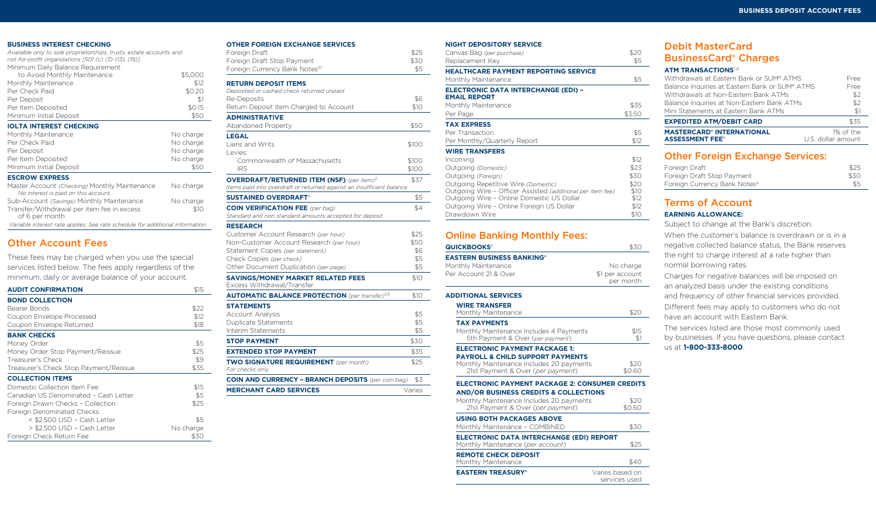#### **BUSINESS INTEREST CHECKING**

| <b>BUSINESS INTEREST CHECKING</b>                                                     |           |
|---------------------------------------------------------------------------------------|-----------|
| Available only to sole proprietorships, trusts, estate accounts and                   |           |
| not-for-profit organizations [501 (c) (3)-(13), (19)].                                |           |
| Minimum Daily Balance Requirement                                                     |           |
| to Avoid Monthly Maintenance                                                          | \$5,000   |
| Monthly Maintenance                                                                   | \$12      |
| Per Check Paid                                                                        | \$0.20    |
| Per Deposit                                                                           | \$1       |
| Per Item Deposited                                                                    | \$0.15    |
| Minimum Initial Deposit                                                               | \$50      |
| <b>IOLTA INTEREST CHECKING</b>                                                        |           |
| Monthly Maintenance                                                                   | No charge |
| Per Check Paid                                                                        | No charge |
| Per Deposit                                                                           | No charge |
| Per Item Deposited                                                                    | No charge |
| Minimum Initial Deposit                                                               | \$50      |
| <b>ESCROW EXPRESS</b>                                                                 |           |
| Master Account (Checking) Monthly Maintenance<br>No interest is paid on this account. | No charge |
| Sub-Account (Savings) Monthly Maintenance                                             | No charge |
| Transfer/Withdrawal per item fee in excess<br>of 6 per month                          | \$10      |

#### Other Account Fees

| These fees may be charged when you use the special      |
|---------------------------------------------------------|
| services listed below. The fees apply regardless of the |
| minimum, daily or average balance of your account.      |

 *Variable interest rate applies. See rate schedule for additional information.*

| <b>AUDIT CONFIRMATION</b>              | \$15      |
|----------------------------------------|-----------|
| <b>BOND COLLECTION</b>                 |           |
| Bearer Bonds                           | \$22      |
| Coupon Envelope Processed              | \$12      |
| Coupon Envelope Returned               | \$18      |
| <b>BANK CHECKS</b>                     |           |
| Money Order                            | \$5       |
| Money Order Stop Payment/Reissue       | \$25      |
| Treasurer's Check                      | \$9       |
| Treasurer's Check Stop Payment/Reissue | \$35      |
| <b>COLLECTION ITEMS</b>                |           |
| Domestic Collection Item Fee           | \$15      |
| Canadian US Denominated - Cash Letter  | \$5       |
| Foreign Drawn Checks - Collection      | \$25      |
| Foreign Denominated Checks             |           |
| < \$2,500 USD - Cash Letter            | \$5       |
| > \$2,500 USD - Cash Letter            | No charge |
| Foreign Check Return Fee               | \$30      |

#### **OTHER FOREIGN EXCHANGE SERVICES**

| I EAUNAIVUE J                                                         |        |
|-----------------------------------------------------------------------|--------|
| Foreign Draft                                                         | \$25   |
| Foreign Draft Stop Payment                                            | \$30   |
| Foreign Currency Bank Notes <sup>10</sup>                             | \$5    |
| <b>RETURN DEPOSIT ITEMS</b>                                           |        |
| Deposited or cashed check returned unpaid                             |        |
| Re-Deposits                                                           | \$6    |
| Return Deposit Item Charged to Account                                | \$10   |
| <b>ADMINISTRATIVE</b>                                                 |        |
| Abandoned Property                                                    | \$50   |
| <b>LEGAL</b>                                                          |        |
| Liens and Writs                                                       | \$100  |
| Levies:                                                               |        |
| Commonwealth of Massachusetts                                         | \$100  |
| <b>IRS</b>                                                            | \$100  |
| <b>OVERDRAFT/RETURNED ITEM (NSF)</b> (per item) <sup>2</sup>          | \$37   |
| Items paid into overdraft or returned against an insufficient balance |        |
| <b>SUSTAINED OVERDRAFT<sup>4</sup></b>                                | \$5    |
| <b>COIN VERIFICATION FEE</b> (per bag)                                | \$4    |
| Standard and non standard amounts accepted for deposit                |        |
| <b>RESEARCH</b>                                                       |        |
| Customer Account Research (per hour)                                  | \$25   |
| Non-Customer Account Research (per hour)                              | \$50   |
| Statement Copies (per statement)                                      | \$6    |
| Check Copies (per check)                                              | \$5    |
| Other Document Duplication (per page)                                 | \$5    |
| <b>SAVINGS/MONEY MARKET RELATED FEES</b>                              | \$10   |
| Excess Withdrawal/Transfer                                            |        |
| <b>AUTOMATIC BALANCE PROTECTION</b> (per transfer) <sup>5,6</sup>     | \$10   |
| <b>STATEMENTS</b>                                                     |        |
| Account Analysis                                                      | \$5    |
| Duplicate Statements                                                  | \$5    |
| Interim Statements                                                    | \$5    |
| <b>STOP PAYMENT</b>                                                   | \$30   |
| <b>EXTENDED STOP PAYMENT</b>                                          | \$35   |
| <b>TWO SIGNATURE REQUIREMENT</b> (per month)                          | \$25   |
| For checks only                                                       |        |
| <b>COIN AND CURRENCY - BRANCH DEPOSITS</b> (per coin bag)             | \$3    |
| <b>MERCHANT CARD SERVICES</b>                                         | Varies |
|                                                                       |        |

| <b>NIGHT DEPOSITORY SERVICE</b>                            |        |
|------------------------------------------------------------|--------|
| Canvas Bag (per purchase)                                  | \$20   |
| Replacement Key                                            |        |
| <b>HEALTHCARE PAYMENT REPORTING SERVICE</b>                |        |
| Monthly Maintenance                                        | \$5    |
| <b>ELECTRONIC DATA INTERCHANGE (EDI) -</b>                 |        |
| <b>EMAIL REPORT</b>                                        |        |
| Monthly Maintenance                                        | \$35   |
| Per Page                                                   | \$3.50 |
| <b>TAX EXPRESS</b>                                         |        |
| Per Transaction                                            | \$5    |
| Per Monthly/Quarterly Report                               | \$12   |
| <b>WIRE TRANSFERS</b>                                      |        |
| Incoming                                                   | \$12   |
| Outgoing (Domestic)                                        | \$23   |
| Outgoing (Foreign)                                         | \$30   |
| Outgoing Repetitive Wire (Domestic)                        | \$20   |
| Outgoing Wire - Officer Assisted (additional per item fee) | \$10   |
| Outgoing Wire - Online Domestic US Dollar                  | \$12   |
| Outgoing Wire - Online Foreign US Dollar                   | \$12   |
| Drawdown Wire                                              | \$10   |

### Online Banking Monthly Fees:

| <b>QUICKBOOKS</b> <sup>6</sup>   | \$30            |
|----------------------------------|-----------------|
| <b>EASTERN BUSINESS BANKING®</b> |                 |
| Monthly Maintenance              | No charge       |
| Per Account 21 & Over            | \$1 per account |
|                                  | per month       |

#### **ADDITIONAL SERVICES**

| <b>WIRE TRANSFER</b><br>Monthly Maintenance                                                                                  | \$20            |
|------------------------------------------------------------------------------------------------------------------------------|-----------------|
| <b>TAX PAYMENTS</b>                                                                                                          |                 |
| Monthly Maintenance Includes 4 Payments<br>5th Payment & Over (per payment)                                                  | \$15<br>\$1     |
| <b>ELECTRONIC PAYMENT PACKAGE 1:</b>                                                                                         |                 |
| <b>PAYROLL &amp; CHILD SUPPORT PAYMENTS</b><br>Monthly Maintenance Includes 20 payments<br>21st Payment & Over (per payment) | \$20<br>\$0.60  |
| <b>ELECTRONIC PAYMENT PACKAGE 2: CONSUMER CREDITS</b>                                                                        |                 |
| <b>AND/OR BUSINESS CREDITS &amp; COLLECTIONS</b>                                                                             |                 |
| Monthly Maintenance Includes 20 payments                                                                                     | \$20            |
| 21st Payment & Over (per payment)                                                                                            | \$0.60          |
| <b>USING BOTH PACKAGES ABOVE</b>                                                                                             |                 |
| Monthly Maintenance - COMBINED                                                                                               | \$30            |
| ELECTRONIC DATA INTERCHANGE (EDI) REPORT                                                                                     |                 |
| Monthly Maintenance (per account)                                                                                            | \$25            |
| <b>REMOTE CHECK DEPOSIT</b>                                                                                                  |                 |
| Monthly Maintenance                                                                                                          | \$40            |
| <b>EASTERN TREASURY®</b>                                                                                                     | Varies based on |
|                                                                                                                              | services used   |

#### Debit MasterCard BusinessCard® Charges

#### **ATM TRANSACTIONS**7,8

| <b>MASTERCARD® INTERNATIONAL</b><br><b>ASSESSMENT FEE<sup>9</sup></b> | 1% of the<br>U.S. dollar amount |
|-----------------------------------------------------------------------|---------------------------------|
| <b>EXPEDITED ATM/DEBIT CARD</b>                                       | \$35                            |
| Mini Statements at Eastern Bank ATMs                                  | \$1                             |
| Balance Inquiries at Non-Eastern Bank ATMs                            | \$2                             |
| Withdrawals at Non-Fastern Bank ATMs                                  | \$2                             |
| Balance Inquiries at Eastern Bank or SUM® ATMS                        | Free                            |
| Withdrawals at Eastern Bank or SUM® ATMS                              | Free                            |
|                                                                       |                                 |

#### Other Foreign Exchange Services:

| Foreign Draft                            | \$25 |
|------------------------------------------|------|
| Foreign Draft Stop Payment               | \$30 |
| Foreign Currency Bank Notes <sup>9</sup> | \$5  |

#### Terms of Account

#### **EARNING ALLOWANCE:**

Subject to change at the Bank's discretion. When the customer's balance is overdrawn or is in a negative collected balance status, the Bank reserves the right to charge interest at a rate higher than normal borrowing rates.

Charges for negative balances will be imposed on an analyzed basis under the existing conditions and frequency of other financial services provided. Different fees may apply to customers who do not have an account with Eastern Bank.

The services listed are those most commonly used by businesses. If you have questions, please contact us at **1-800-333-8000**.